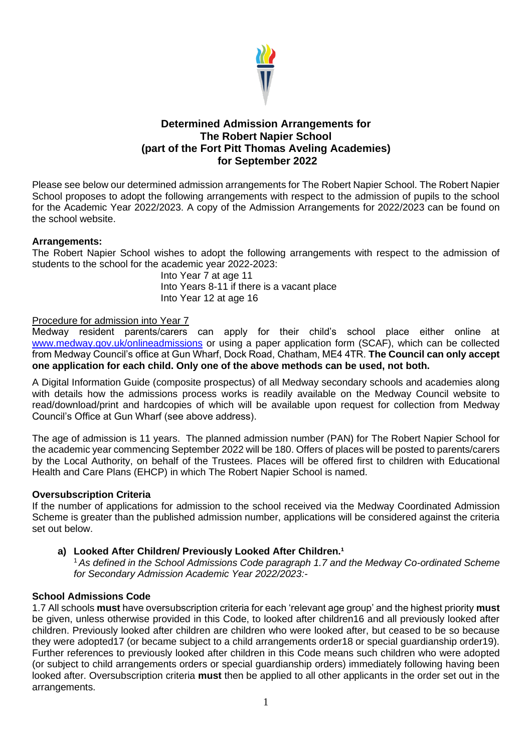

# **Determined Admission Arrangements for The Robert Napier School (part of the Fort Pitt Thomas Aveling Academies) for September 2022**

Please see below our determined admission arrangements for The Robert Napier School. The Robert Napier School proposes to adopt the following arrangements with respect to the admission of pupils to the school for the Academic Year 2022/2023. A copy of the Admission Arrangements for 2022/2023 can be found on the school website.

## **Arrangements:**

The Robert Napier School wishes to adopt the following arrangements with respect to the admission of students to the school for the academic year 2022-2023:

> Into Year 7 at age 11 Into Years 8-11 if there is a vacant place Into Year 12 at age 16

## Procedure for admission into Year 7

Medway resident parents/carers can apply for their child's school place either online at [www.medway.gov.uk/onlineadmissions](http://www.medway.gov.uk/onlineadmissions) or using a paper application form (SCAF), which can be collected from Medway Council's office at Gun Wharf, Dock Road, Chatham, ME4 4TR. **The Council can only accept one application for each child. Only one of the above methods can be used, not both.** 

A Digital Information Guide (composite prospectus) of all Medway secondary schools and academies along with details how the admissions process works is readily available on the Medway Council website to read/download/print and hardcopies of which will be available upon request for collection from Medway Council's Office at Gun Wharf (see above address).

The age of admission is 11 years. The planned admission number (PAN) for The Robert Napier School for the academic year commencing September 2022 will be 180. Offers of places will be posted to parents/carers by the Local Authority, on behalf of the Trustees. Places will be offered first to children with Educational Health and Care Plans (EHCP) in which The Robert Napier School is named.

## **Oversubscription Criteria**

If the number of applications for admission to the school received via the Medway Coordinated Admission Scheme is greater than the published admission number, applications will be considered against the criteria set out below.

## a) Looked After Children/ Previously Looked After Children.<sup>1</sup>

<sup>1</sup>*As defined in the School Admissions Code paragraph 1.7 and the Medway Co-ordinated Scheme for Secondary Admission Academic Year 2022/2023:-*

## **School Admissions Code**

1.7 All schools **must** have oversubscription criteria for each 'relevant age group' and the highest priority **must**  be given, unless otherwise provided in this Code, to looked after children16 and all previously looked after children. Previously looked after children are children who were looked after, but ceased to be so because they were adopted17 (or became subject to a child arrangements order18 or special guardianship order19). Further references to previously looked after children in this Code means such children who were adopted (or subject to child arrangements orders or special guardianship orders) immediately following having been looked after. Oversubscription criteria **must** then be applied to all other applicants in the order set out in the arrangements.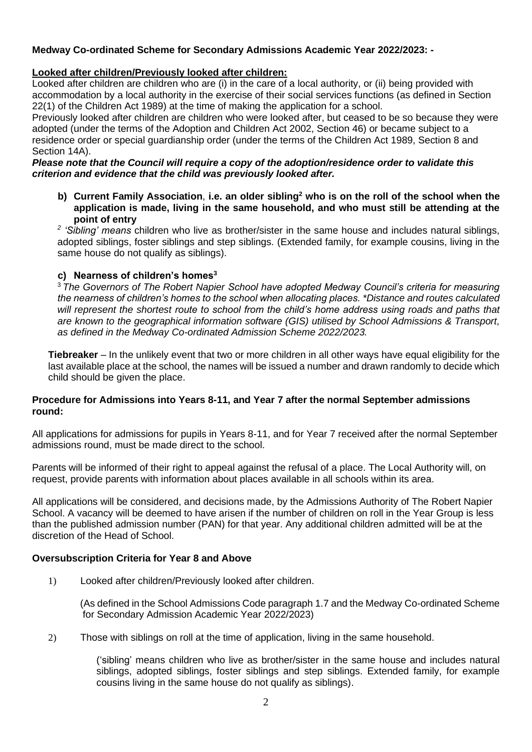# **Medway Co-ordinated Scheme for Secondary Admissions Academic Year 2022/2023: -**

## **Looked after children/Previously looked after children:**

Looked after children are children who are (i) in the care of a local authority, or (ii) being provided with accommodation by a local authority in the exercise of their social services functions (as defined in Section 22(1) of the Children Act 1989) at the time of making the application for a school.

Previously looked after children are children who were looked after, but ceased to be so because they were adopted (under the terms of the Adoption and Children Act 2002, Section 46) or became subject to a residence order or special guardianship order (under the terms of the Children Act 1989, Section 8 and Section 14A).

#### *Please note that the Council will require a copy of the adoption/residence order to validate this criterion and evidence that the child was previously looked after.*

**b) Current Family Association**, **i.e. an older sibling<sup>2</sup> who is on the roll of the school when the application is made, living in the same household, and who must still be attending at the point of entry** 

*2 'Sibling' means* children who live as brother/sister in the same house and includes natural siblings, adopted siblings, foster siblings and step siblings. (Extended family, for example cousins, living in the same house do not qualify as siblings).

## **c) Nearness of children's homes<sup>3</sup>**

<sup>3</sup> *The Governors of The Robert Napier School have adopted Medway Council's criteria for measuring the nearness of children's homes to the school when allocating places. \*Distance and routes calculated will represent the shortest route to school from the child's home address using roads and paths that are known to the geographical information software (GIS) utilised by School Admissions & Transport, as defined in the Medway Co-ordinated Admission Scheme 2022/2023.*

**Tiebreaker** – In the unlikely event that two or more children in all other ways have equal eligibility for the last available place at the school, the names will be issued a number and drawn randomly to decide which child should be given the place.

#### **Procedure for Admissions into Years 8-11, and Year 7 after the normal September admissions round:**

All applications for admissions for pupils in Years 8-11, and for Year 7 received after the normal September admissions round, must be made direct to the school.

Parents will be informed of their right to appeal against the refusal of a place. The Local Authority will, on request, provide parents with information about places available in all schools within its area.

All applications will be considered, and decisions made, by the Admissions Authority of The Robert Napier School. A vacancy will be deemed to have arisen if the number of children on roll in the Year Group is less than the published admission number (PAN) for that year. Any additional children admitted will be at the discretion of the Head of School.

## **Oversubscription Criteria for Year 8 and Above**

1) Looked after children/Previously looked after children.

 (As defined in the School Admissions Code paragraph 1.7 and the Medway Co-ordinated Scheme for Secondary Admission Academic Year 2022/2023)

2) Those with siblings on roll at the time of application, living in the same household.

('sibling' means children who live as brother/sister in the same house and includes natural siblings, adopted siblings, foster siblings and step siblings. Extended family, for example cousins living in the same house do not qualify as siblings).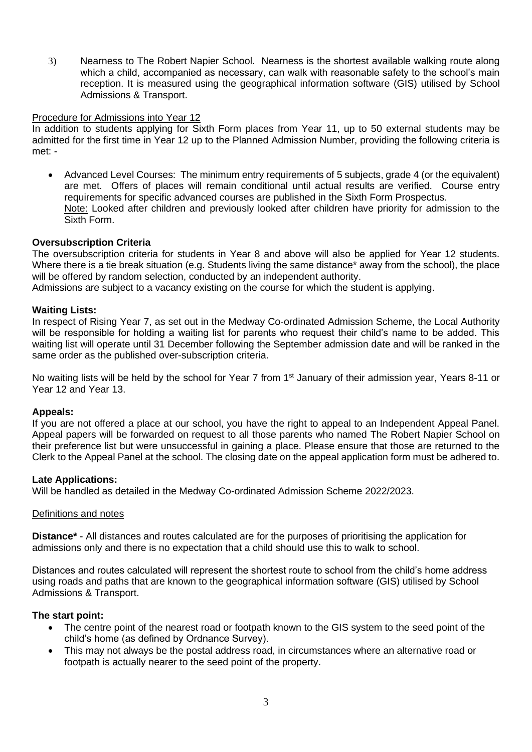3) Nearness to The Robert Napier School. Nearness is the shortest available walking route along which a child, accompanied as necessary, can walk with reasonable safety to the school's main reception. It is measured using the geographical information software (GIS) utilised by School Admissions & Transport.

#### Procedure for Admissions into Year 12

In addition to students applying for Sixth Form places from Year 11, up to 50 external students may be admitted for the first time in Year 12 up to the Planned Admission Number, providing the following criteria is met: -

• Advanced Level Courses: The minimum entry requirements of 5 subjects, grade 4 (or the equivalent) are met. Offers of places will remain conditional until actual results are verified. Course entry requirements for specific advanced courses are published in the Sixth Form Prospectus. Note: Looked after children and previously looked after children have priority for admission to the Sixth Form.

#### **Oversubscription Criteria**

The oversubscription criteria for students in Year 8 and above will also be applied for Year 12 students. Where there is a tie break situation (e.g. Students living the same distance<sup>\*</sup> away from the school), the place will be offered by random selection, conducted by an independent authority.

Admissions are subject to a vacancy existing on the course for which the student is applying.

#### **Waiting Lists:**

In respect of Rising Year 7, as set out in the Medway Co-ordinated Admission Scheme, the Local Authority will be responsible for holding a waiting list for parents who request their child's name to be added. This waiting list will operate until 31 December following the September admission date and will be ranked in the same order as the published over-subscription criteria.

No waiting lists will be held by the school for Year 7 from 1<sup>st</sup> January of their admission year, Years 8-11 or Year 12 and Year 13.

#### **Appeals:**

If you are not offered a place at our school, you have the right to appeal to an Independent Appeal Panel. Appeal papers will be forwarded on request to all those parents who named The Robert Napier School on their preference list but were unsuccessful in gaining a place. Please ensure that those are returned to the Clerk to the Appeal Panel at the school. The closing date on the appeal application form must be adhered to.

#### **Late Applications:**

Will be handled as detailed in the Medway Co-ordinated Admission Scheme 2022/2023.

#### Definitions and notes

**Distance\*** - All distances and routes calculated are for the purposes of prioritising the application for admissions only and there is no expectation that a child should use this to walk to school.

Distances and routes calculated will represent the shortest route to school from the child's home address using roads and paths that are known to the geographical information software (GIS) utilised by School Admissions & Transport.

#### **The start point:**

- The centre point of the nearest road or footpath known to the GIS system to the seed point of the child's home (as defined by Ordnance Survey).
- This may not always be the postal address road, in circumstances where an alternative road or footpath is actually nearer to the seed point of the property.